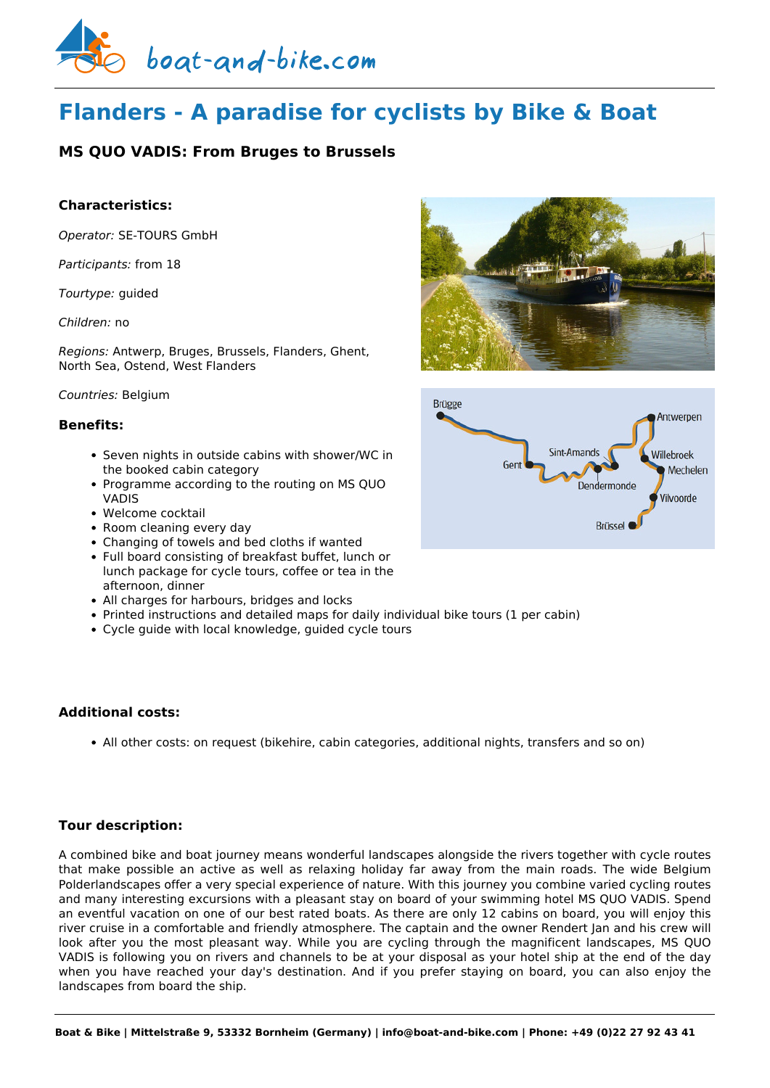

# **Flanders - A paradise for cyclists by Bike & Boat**

## **MS QUO VADIS: From Bruges to Brussels**

## **Characteristics:**

*Operator:* [SE-TOURS GmbH](https://www.boat-and-bike.com/operator/se-tours-gmbh.html) 

*Participants:* from 18

*Tourtype:* guided

### *Children:* no

*Regions:* Antwerp, Bruges, Brussels, Flanders, Ghent, North Sea, Ostend, West Flanders

### *Countries:* Belgium

## **Benefits:**

- Seven nights in outside cabins with shower/WC in the booked cabin category
- Programme according to the routing on MS QUO VADIS
- Welcome cocktail
- Room cleaning every day
- Changing of towels and bed cloths if wanted
- Full board consisting of breakfast buffet, lunch or lunch package for cycle tours, coffee or tea in the afternoon, dinner
- All charges for harbours, bridges and locks
- Printed instructions and detailed maps for daily individual bike tours (1 per cabin)
- Cycle guide with local knowledge, guided cycle tours

## **Additional costs:**

All other costs: on request (bikehire, cabin categories, additional nights, transfers and so on)

## **Tour description:**

A combined bike and boat journey means wonderful landscapes alongside the rivers together with cycle routes that make possible an active as well as relaxing holiday far away from the main roads. The wide Belgium Polderlandscapes offer a very special experience of nature. With this journey you combine varied cycling routes and many interesting excursions with a pleasant stay on board of your swimming hotel MS QUO VADIS. Spend an eventful vacation on one of our best rated boats. As there are only 12 cabins on board, you will enjoy this river cruise in a comfortable and friendly atmosphere. The captain and the owner Rendert Jan and his crew will look after you the most pleasant way. While you are cycling through the magnificent landscapes, MS QUO VADIS is following you on rivers and channels to be at your disposal as your hotel ship at the end of the day when you have reached your day's destination. And if you prefer staying on board, you can also enjoy the landscapes from board the ship.



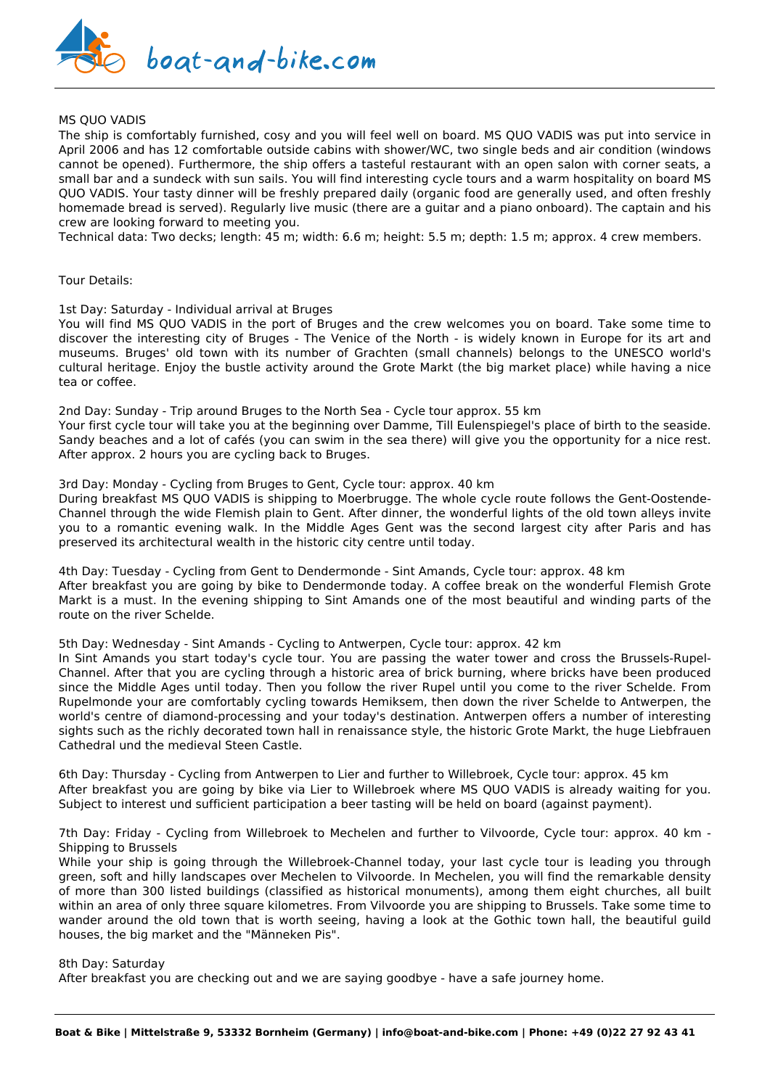

#### MS QUO VADIS

The ship is comfortably furnished, cosy and you will feel well on board. MS QUO VADIS was put into service in April 2006 and has 12 comfortable outside cabins with shower/WC, two single beds and air condition (windows cannot be opened). Furthermore, the ship offers a tasteful restaurant with an open salon with corner seats, a small bar and a sundeck with sun sails. You will find interesting cycle tours and a warm hospitality on board MS QUO VADIS. Your tasty dinner will be freshly prepared daily (organic food are generally used, and often freshly homemade bread is served). Regularly live music (there are a guitar and a piano onboard). The captain and his crew are looking forward to meeting you.

Technical data: Two decks; length: 45 m; width: 6.6 m; height: 5.5 m; depth: 1.5 m; approx. 4 crew members.

#### Tour Details:

1st Day: Saturday - Individual arrival at Bruges

You will find MS QUO VADIS in the port of Bruges and the crew welcomes you on board. Take some time to discover the interesting city of Bruges - The Venice of the North - is widely known in Europe for its art and museums. Bruges' old town with its number of Grachten (small channels) belongs to the UNESCO world's cultural heritage. Enjoy the bustle activity around the Grote Markt (the big market place) while having a nice tea or coffee.

2nd Day: Sunday - Trip around Bruges to the North Sea - Cycle tour approx. 55 km Your first cycle tour will take you at the beginning over Damme, Till Eulenspiegel's place of birth to the seaside. Sandy beaches and a lot of cafés (you can swim in the sea there) will give you the opportunity for a nice rest. After approx. 2 hours you are cycling back to Bruges.

3rd Day: Monday - Cycling from Bruges to Gent, Cycle tour: approx. 40 km

During breakfast MS QUO VADIS is shipping to Moerbrugge. The whole cycle route follows the Gent-Oostende-Channel through the wide Flemish plain to Gent. After dinner, the wonderful lights of the old town alleys invite you to a romantic evening walk. In the Middle Ages Gent was the second largest city after Paris and has preserved its architectural wealth in the historic city centre until today.

4th Day: Tuesday - Cycling from Gent to Dendermonde - Sint Amands, Cycle tour: approx. 48 km After breakfast you are going by bike to Dendermonde today. A coffee break on the wonderful Flemish Grote Markt is a must. In the evening shipping to Sint Amands one of the most beautiful and winding parts of the route on the river Schelde.

5th Day: Wednesday - Sint Amands - Cycling to Antwerpen, Cycle tour: approx. 42 km

In Sint Amands you start today's cycle tour. You are passing the water tower and cross the Brussels-Rupel-Channel. After that you are cycling through a historic area of brick burning, where bricks have been produced since the Middle Ages until today. Then you follow the river Rupel until you come to the river Schelde. From Rupelmonde your are comfortably cycling towards Hemiksem, then down the river Schelde to Antwerpen, the world's centre of diamond-processing and your today's destination. Antwerpen offers a number of interesting sights such as the richly decorated town hall in renaissance style, the historic Grote Markt, the huge Liebfrauen Cathedral und the medieval Steen Castle.

6th Day: Thursday - Cycling from Antwerpen to Lier and further to Willebroek, Cycle tour: approx. 45 km After breakfast you are going by bike via Lier to Willebroek where MS QUO VADIS is already waiting for you. Subject to interest und sufficient participation a beer tasting will be held on board (against payment).

7th Day: Friday - Cycling from Willebroek to Mechelen and further to Vilvoorde, Cycle tour: approx. 40 km - Shipping to Brussels

While your ship is going through the Willebroek-Channel today, your last cycle tour is leading you through green, soft and hilly landscapes over Mechelen to Vilvoorde. In Mechelen, you will find the remarkable density of more than 300 listed buildings (classified as historical monuments), among them eight churches, all built within an area of only three square kilometres. From Vilvoorde you are shipping to Brussels. Take some time to wander around the old town that is worth seeing, having a look at the Gothic town hall, the beautiful guild houses, the big market and the "Männeken Pis".

#### 8th Day: Saturday

After breakfast you are checking out and we are saying goodbye - have a safe journey home.